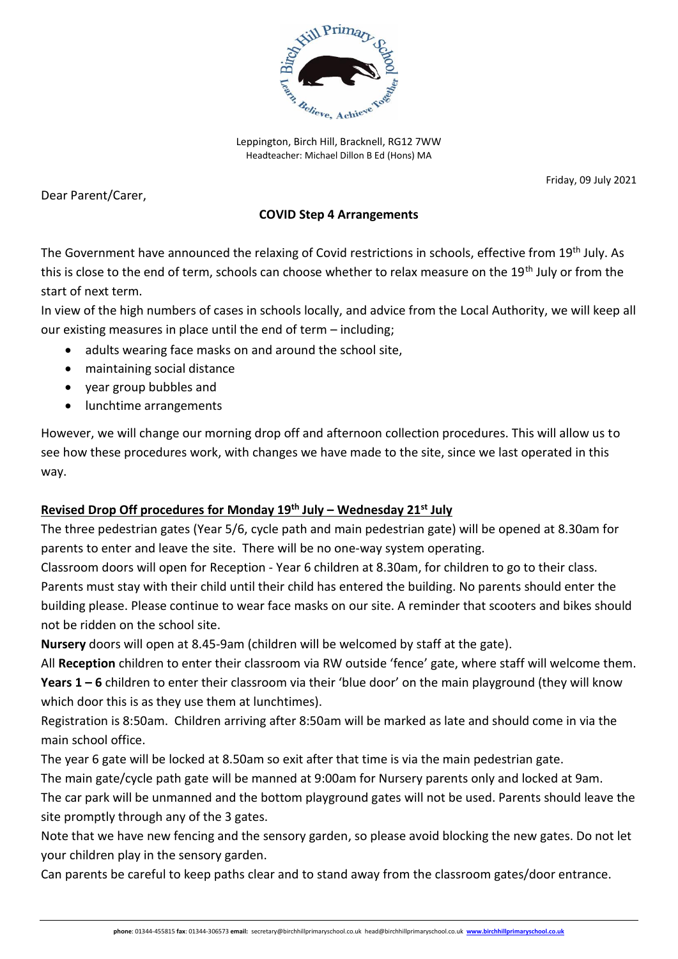

Leppington, Birch Hill, Bracknell, RG12 7WW Headteacher: Michael Dillon B Ed (Hons) MA

Dear Parent/Carer,

Friday, 09 July 2021

## **COVID Step 4 Arrangements**

The Government have announced the relaxing of Covid restrictions in schools, effective from 19th July. As this is close to the end of term, schools can choose whether to relax measure on the 19<sup>th</sup> July or from the start of next term.

In view of the high numbers of cases in schools locally, and advice from the Local Authority, we will keep all our existing measures in place until the end of term – including;

- adults wearing face masks on and around the school site,
- maintaining social distance
- year group bubbles and
- lunchtime arrangements

However, we will change our morning drop off and afternoon collection procedures. This will allow us to see how these procedures work, with changes we have made to the site, since we last operated in this way.

## **Revised Drop Off procedures for Monday 19th July – Wednesday 21st July**

The three pedestrian gates (Year 5/6, cycle path and main pedestrian gate) will be opened at 8.30am for parents to enter and leave the site. There will be no one-way system operating.

Classroom doors will open for Reception - Year 6 children at 8.30am, for children to go to their class. Parents must stay with their child until their child has entered the building. No parents should enter the building please. Please continue to wear face masks on our site. A reminder that scooters and bikes should not be ridden on the school site.

**Nursery** doors will open at 8.45-9am (children will be welcomed by staff at the gate).

All **Reception** children to enter their classroom via RW outside 'fence' gate, where staff will welcome them. **Years 1 – 6** children to enter their classroom via their 'blue door' on the main playground (they will know which door this is as they use them at lunchtimes).

Registration is 8:50am. Children arriving after 8:50am will be marked as late and should come in via the main school office.

The year 6 gate will be locked at 8.50am so exit after that time is via the main pedestrian gate.

The main gate/cycle path gate will be manned at 9:00am for Nursery parents only and locked at 9am.

The car park will be unmanned and the bottom playground gates will not be used. Parents should leave the site promptly through any of the 3 gates.

Note that we have new fencing and the sensory garden, so please avoid blocking the new gates. Do not let your children play in the sensory garden.

Can parents be careful to keep paths clear and to stand away from the classroom gates/door entrance.